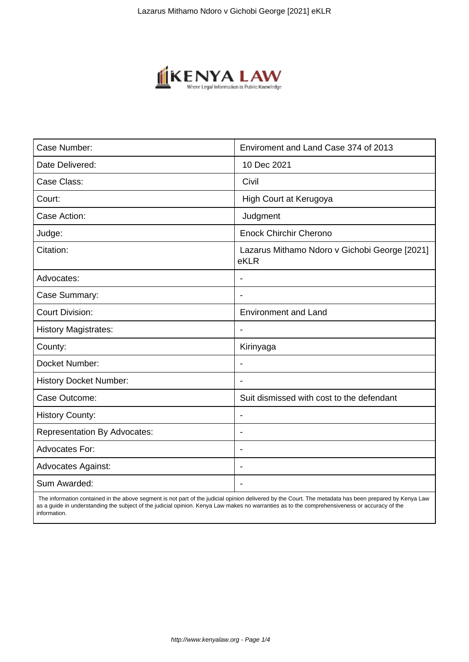

| Case Number:                        | Enviroment and Land Case 374 of 2013                  |
|-------------------------------------|-------------------------------------------------------|
| Date Delivered:                     | 10 Dec 2021                                           |
| Case Class:                         | Civil                                                 |
| Court:                              | High Court at Kerugoya                                |
| Case Action:                        | Judgment                                              |
| Judge:                              | <b>Enock Chirchir Cherono</b>                         |
| Citation:                           | Lazarus Mithamo Ndoro v Gichobi George [2021]<br>eKLR |
| Advocates:                          |                                                       |
| Case Summary:                       |                                                       |
| <b>Court Division:</b>              | <b>Environment and Land</b>                           |
| <b>History Magistrates:</b>         | $\blacksquare$                                        |
| County:                             | Kirinyaga                                             |
| Docket Number:                      |                                                       |
| <b>History Docket Number:</b>       |                                                       |
| Case Outcome:                       | Suit dismissed with cost to the defendant             |
| <b>History County:</b>              | $\overline{\phantom{a}}$                              |
| <b>Representation By Advocates:</b> | $\overline{\phantom{a}}$                              |
| <b>Advocates For:</b>               | ÷.                                                    |
| <b>Advocates Against:</b>           |                                                       |
| Sum Awarded:                        |                                                       |

 The information contained in the above segment is not part of the judicial opinion delivered by the Court. The metadata has been prepared by Kenya Law as a guide in understanding the subject of the judicial opinion. Kenya Law makes no warranties as to the comprehensiveness or accuracy of the information.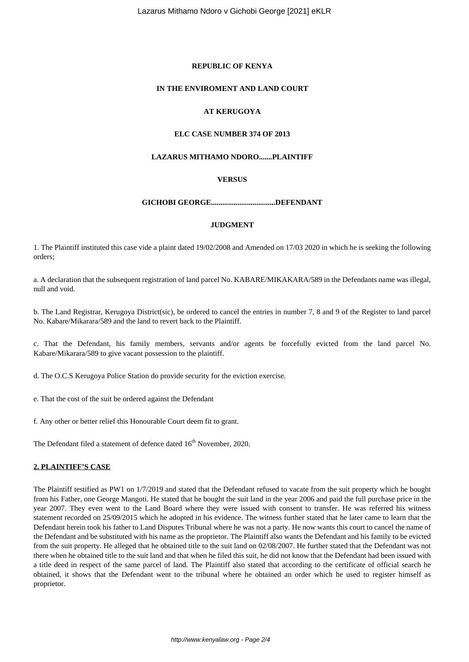## **REPUBLIC OF KENYA**

## **IN THE ENVIROMENT AND LAND COURT**

# **AT KERUGOYA**

# **ELC CASE NUMBER 374 OF 2013**

## **LAZARUS MITHAMO NDORO.......PLAINTIFF**

## **VERSUS**

## **GICHOBI GEORGE..................................DEFENDANT**

#### **JUDGMENT**

1. The Plaintiff instituted this case vide a plaint dated 19/02/2008 and Amended on 17/03 2020 in which he is seeking the following orders;

a. A declaration that the subsequent registration of land parcel No. KABARE/MIKAKARA/589 in the Defendants name was illegal, null and void.

b. The Land Registrar, Kerugoya District(sic), be ordered to cancel the entries in number 7, 8 and 9 of the Register to land parcel No. Kabare/Mikarara/589 and the land to revert back to the Plaintiff.

c. That the Defendant, his family members, servants and/or agents be forcefully evicted from the land parcel No. Kabare/Mikarara/589 to give vacant possession to the plaintiff.

d. The O.C.S Kerugoya Police Station do provide security for the eviction exercise.

e. That the cost of the suit be ordered against the Defendant

f. Any other or better relief this Honourable Court deem fit to grant.

The Defendant filed a statement of defence dated 16<sup>th</sup> November, 2020.

#### **2. PLAINTIFF'S CASE**

The Plaintiff testified as PW1 on 1/7/2019 and stated that the Defendant refused to vacate from the suit property which he bought from his Father, one George Mangoti. He stated that he bought the suit land in the year 2006 and paid the full purchase price in the year 2007. They even went to the Land Board where they were issued with consent to transfer. He was referred his witness statement recorded on 25/09/2015 which he adopted in his evidence. The witness further stated that he later came to learn that the Defendant herein took his father to Land Disputes Tribunal where he was not a party. He now wants this court to cancel the name of the Defendant and be substituted with his name as the proprietor. The Plaintiff also wants the Defendant and his family to be evicted from the suit property. He alleged that he obtained title to the suit land on 02/08/2007. He further stated that the Defendant was not there when he obtained title to the suit land and that when he filed this suit, he did not know that the Defendant had been issued with a title deed in respect of the same parcel of land. The Plaintiff also stated that according to the certificate of official search he obtained, it shows that the Defendant went to the tribunal where he obtained an order which he used to register himself as proprietor.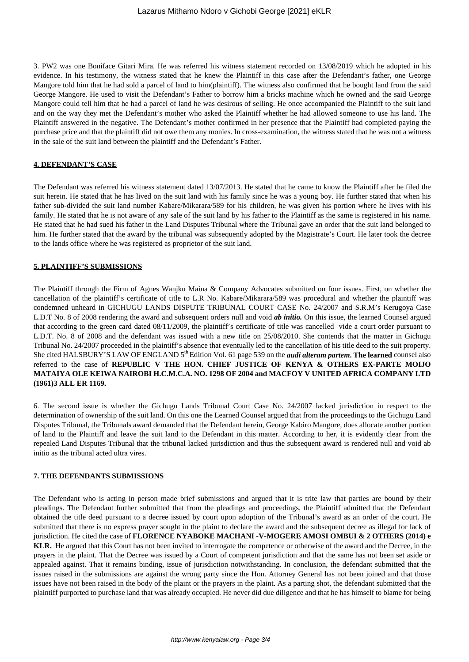3. PW2 was one Boniface Gitari Mira. He was referred his witness statement recorded on 13/08/2019 which he adopted in his evidence. In his testimony, the witness stated that he knew the Plaintiff in this case after the Defendant's father, one George Mangore told him that he had sold a parcel of land to him(plaintiff). The witness also confirmed that he bought land from the said George Mangore. He used to visit the Defendant's Father to borrow him a bricks machine which he owned and the said George Mangore could tell him that he had a parcel of land he was desirous of selling. He once accompanied the Plaintiff to the suit land and on the way they met the Defendant's mother who asked the Plaintiff whether he had allowed someone to use his land. The Plaintiff answered in the negative. The Defendant's mother confirmed in her presence that the Plaintiff had completed paying the purchase price and that the plaintiff did not owe them any monies. In cross-examination, the witness stated that he was not a witness in the sale of the suit land between the plaintiff and the Defendant's Father.

#### **4. DEFENDANT'S CASE**

The Defendant was referred his witness statement dated 13/07/2013. He stated that he came to know the Plaintiff after he filed the suit herein. He stated that he has lived on the suit land with his family since he was a young boy. He further stated that when his father sub-divided the suit land number Kabare/Mikarara/589 for his children, he was given his portion where he lives with his family. He stated that he is not aware of any sale of the suit land by his father to the Plaintiff as the same is registered in his name. He stated that he had sued his father in the Land Disputes Tribunal where the Tribunal gave an order that the suit land belonged to him. He further stated that the award by the tribunal was subsequently adopted by the Magistrate's Court. He later took the decree to the lands office where he was registered as proprietor of the suit land.

## **5. PLAINTIFF'S SUBMISSIONS**

The Plaintiff through the Firm of Agnes Wanjku Maina & Company Advocates submitted on four issues. First, on whether the cancellation of the plaintiff's certificate of title to L.R No. Kabare/Mikarara/589 was procedural and whether the plaintiff was condemned unheard in GICHUGU LANDS DISPUTE TRIBUNAL COURT CASE No. 24/2007 and S.R.M's Kerugoya Case L.D.T No. 8 of 2008 rendering the award and subsequent orders null and void *ab initio.* On this issue, the learned Counsel argued that according to the green card dated 08/11/2009, the plaintiff's certificate of title was cancelled vide a court order pursuant to L.D.T. No. 8 of 2008 and the defendant was issued with a new title on 25/08/2010. She contends that the matter in Gichugu Tribunal No. 24/2007 proceeded in the plaintiff's absence that eventually led to the cancellation of his title deed to the suit property. She cited HALSBURY'S LAW OF ENGLAND 5<sup>th</sup> Edition Vol. 61 page 539 on the *audi alteram partem***. The learned** counsel also referred to the case of **REPUBLIC V THE HON. CHIEF JUSTICE OF KENYA & OTHERS EX-PARTE MOIJO MATAIYA OLE KEIWA NAIROBI H.C.M.C.A. NO. 1298 OF 2004 and MACFOY V UNITED AFRICA COMPANY LTD (1961)3 ALL ER 1169.**

6. The second issue is whether the Gichugu Lands Tribunal Court Case No. 24/2007 lacked jurisdiction in respect to the determination of ownership of the suit land. On this one the Learned Counsel argued that from the proceedings to the Gichugu Land Disputes Tribunal, the Tribunals award demanded that the Defendant herein, George Kabiro Mangore, does allocate another portion of land to the Plaintiff and leave the suit land to the Defendant in this matter. According to her, it is evidently clear from the repealed Land Disputes Tribunal that the tribunal lacked jurisdiction and thus the subsequent award is rendered null and void ab initio as the tribunal acted ultra vires.

#### **7. THE DEFENDANTS SUBMISSIONS**

The Defendant who is acting in person made brief submissions and argued that it is trite law that parties are bound by their pleadings. The Defendant further submitted that from the pleadings and proceedings, the Plaintiff admitted that the Defendant obtained the title deed pursuant to a decree issued by court upon adoption of the Tribunal's award as an order of the court. He submitted that there is no express prayer sought in the plaint to declare the award and the subsequent decree as illegal for lack of jurisdiction. He cited the case of **FLORENCE NYABOKE MACHANI -V-MOGERE AMOSI OMBUI & 2 OTHERS (2014) e KLR.** He argued that this Court has not been invited to interrogate the competence or otherwise of the award and the Decree, in the prayers in the plaint. That the Decree was issued by a Court of competent jurisdiction and that the same has not been set aside or appealed against. That it remains binding, issue of jurisdiction notwithstanding. In conclusion, the defendant submitted that the issues raised in the submissions are against the wrong party since the Hon. Attorney General has not been joined and that those issues have not been raised in the body of the plaint or the prayers in the plaint. As a parting shot, the defendant submitted that the plaintiff purported to purchase land that was already occupied. He never did due diligence and that he has himself to blame for being